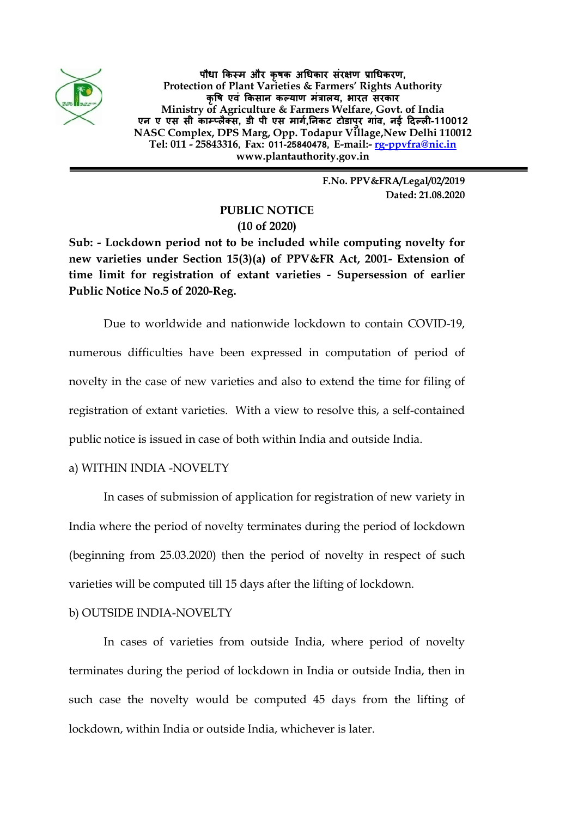

**पौधा �कस्म और कृषक अ�धकार संर�ण प्रा�धकरण, Protection of Plant Varieties & Farmers' Rights Authority कृ�ष एवं �कसान कल्याण मंत्रालय, भारत सरकार Ministry of Agriculture & Farmers Welfare, Govt. of India एन ए एस सी काम्प्लैक्स, डी पी एस मागर्,�नकट टोडापुर गांव, नई �दल्ल�-110012 NASC Complex, DPS Marg, Opp. Todapur Village,New Delhi 110012 Tel: 011 - 25843316, Fax: 011-25840478, E-mail:- [rg-ppvfra@nic.in](mailto:rg-ppvfra@nic.in) www.plantauthority.gov.in**

> **F.No. PPV&FRA/Legal/02/2019 Dated: 21.08.2020**

## **PUBLIC NOTICE (10 of 2020)**

**Sub: - Lockdown period not to be included while computing novelty for new varieties under Section 15(3)(a) of PPV&FR Act, 2001- Extension of time limit for registration of extant varieties - Supersession of earlier Public Notice No.5 of 2020-Reg.**

Due to worldwide and nationwide lockdown to contain COVID-19, numerous difficulties have been expressed in computation of period of novelty in the case of new varieties and also to extend the time for filing of registration of extant varieties. With a view to resolve this, a self-contained public notice is issued in case of both within India and outside India.

## a) WITHIN INDIA -NOVELTY

In cases of submission of application for registration of new variety in India where the period of novelty terminates during the period of lockdown (beginning from 25.03.2020) then the period of novelty in respect of such varieties will be computed till 15 days after the lifting of lockdown.

## b) OUTSIDE INDIA-NOVELTY

In cases of varieties from outside India, where period of novelty terminates during the period of lockdown in India or outside India, then in such case the novelty would be computed 45 days from the lifting of lockdown, within India or outside India, whichever is later.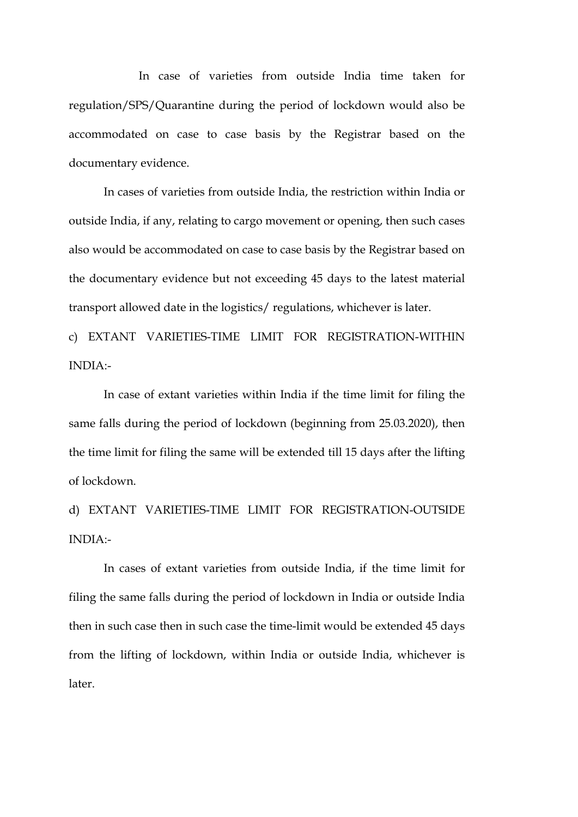In case of varieties from outside India time taken for regulation/SPS/Quarantine during the period of lockdown would also be accommodated on case to case basis by the Registrar based on the documentary evidence.

In cases of varieties from outside India, the restriction within India or outside India, if any, relating to cargo movement or opening, then such cases also would be accommodated on case to case basis by the Registrar based on the documentary evidence but not exceeding 45 days to the latest material transport allowed date in the logistics/ regulations, whichever is later.

c) EXTANT VARIETIES-TIME LIMIT FOR REGISTRATION-WITHIN INDIA:-

In case of extant varieties within India if the time limit for filing the same falls during the period of lockdown (beginning from 25.03.2020), then the time limit for filing the same will be extended till 15 days after the lifting of lockdown.

d) EXTANT VARIETIES-TIME LIMIT FOR REGISTRATION-OUTSIDE INDIA:-

In cases of extant varieties from outside India, if the time limit for filing the same falls during the period of lockdown in India or outside India then in such case then in such case the time-limit would be extended 45 days from the lifting of lockdown, within India or outside India, whichever is later.